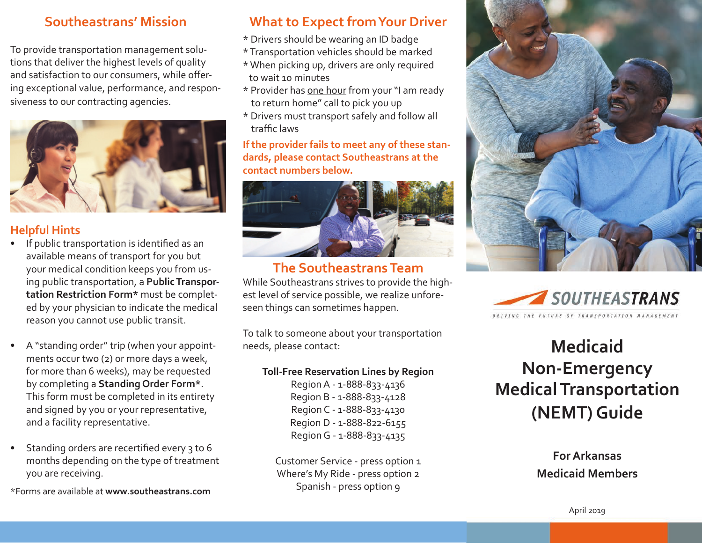# **Southeastrans' Mission**

To provide transportation management solutions that deliver the highest levels of quality and satisfaction to our consumers, while offering exceptional value, performance, and responsiveness to our contracting agencies.



## **Helpful Hints**

- If public transportation is identified as an available means of transport for you but your medical condition keeps you from using public transportation, a **Public Transportation Restriction Form\*** must be completed by your physician to indicate the medical reason you cannot use public transit.
- A "standing order" trip (when your appointments occur two (2) or more days a week, for more than 6 weeks), may be requested by completing a **Standing Order Form\***. This form must be completed in its entirety and signed by you or your representative, and a facility representative.
- Standing orders are recertified every 3 to 6 months depending on the type of treatment you are receiving.
- \*Forms are available at **www.southeastrans.com**

## **What to Expect from Your Driver**

- \* Drivers should be wearing an ID badge
- \* Transportation vehicles should be marked
- \* When picking up, drivers are only required to wait 10 minutes
- \* Provider has one hour from your "I am ready to return home" call to pick you up
- \* Drivers must transport safely and follow all traffic laws

#### **If the provider fails to meet any of these standards, please contact Southeastrans at the contact numbers below.**



# **The Southeastrans Team**

While Southeastrans strives to provide the highest level of service possible, we realize unforeseen things can sometimes happen.

To talk to someone about your transportation needs, please contact:

#### **Toll-Free Reservation Lines by Region**

Region A - 1-888-833-4136 Region B - 1-888-833-4128 Region C - 1-888-833-4130 Region D - 1-888-822-6155 Region G - 1-888-833-4135

Customer Service - press option 1 Where's My Ride - press option 2 Spanish - press option 9





# **Medicaid Non-Emergency Medical Transportation (NEMT) Guide**

**For Arkansas Medicaid Members**

April 2019